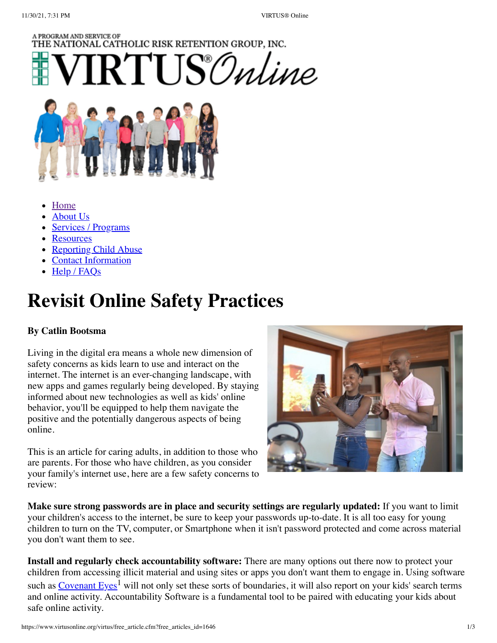### A PROGRAM AND SERVICE OF THE NATIONAL CATHOLIC RISK RETENTION GROUP, INC.  $RTI$ IS $\mathcal O$ *nline*



- **[Home](https://www.virtusonline.org/virtus/)**
- [About Us](https://www.virtusonline.org/virtus/virtus_description.cfm)
- [Services / Programs](https://www.virtusonline.org/virtus/productsandservices.cfm)
- [Resources](https://www.virtusonline.org/virtus/virtus_resources.cfm)
- [Reporting Child Abuse](https://www.virtusonline.org/virtus/Abuse_Reporting.cfm)
- [Contact Information](https://www.virtusonline.org/virtus/virtus_contact.cfm)
- [Help / FAQs](https://www.virtusonline.org/virtus/virtus_help_faq.cfm)

# **Revisit Online Safety Practices**

### **By Catlin Bootsma**

Living in the digital era means a whole new dimension of safety concerns as kids learn to use and interact on the internet. The internet is an ever-changing landscape, with new apps and games regularly being developed. By staying informed about new technologies as well as kids' online behavior, you'll be equipped to help them navigate the positive and the potentially dangerous aspects of being online.

This is an article for caring adults, in addition to those who are parents. For those who have children, as you consider your family's internet use, here are a few safety concerns to review:



**Make sure strong passwords are in place and security settings are regularly updated:** If you want to limit your children's access to the internet, be sure to keep your passwords up-to-date. It is all too easy for young children to turn on the TV, computer, or Smartphone when it isn't password protected and come across material you don't want them to see.

**Install and regularly check accountability software:** There are many options out there now to protect your children from accessing illicit material and using sites or apps you don't want them to engage in. Using software such as <u>Covenant Eyes<sup>1</sup></u> will not only set these sorts of boundaries, it will also report on your kids' search terms and online activity. Accountability Software is a fundamental tool to be paired with educating your kids about safe online activity.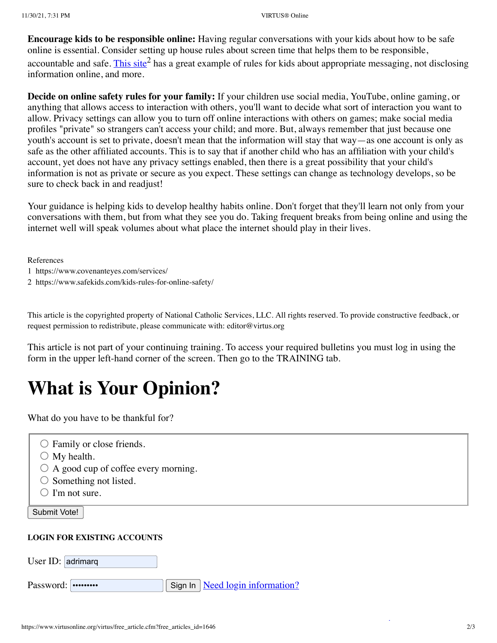**Encourage kids to be responsible online:** Having regular conversations with your kids about how to be safe online is essential. Consider setting up house rules about screen time that helps them to be responsible, accountable and safe. [This site](https://www.safekids.com/kids-rules-for-online-safety/)<sup>2</sup> has a great example of rules for kids about appropriate messaging, not disclosing information online, and more.

**Decide on online safety rules for your family:** If your children use social media, YouTube, online gaming, or anything that allows access to interaction with others, you'll want to decide what sort of interaction you want to allow. Privacy settings can allow you to turn off online interactions with others on games; make social media profiles "private" so strangers can't access your child; and more. But, always remember that just because one youth's account is set to private, doesn't mean that the information will stay that way—as one account is only as safe as the other affiliated accounts. This is to say that if another child who has an affiliation with your child's account, yet does not have any privacy settings enabled, then there is a great possibility that your child's information is not as private or secure as you expect. These settings can change as technology develops, so be sure to check back in and readjust!

Your guidance is helping kids to develop healthy habits online. Don't forget that they'll learn not only from your conversations with them, but from what they see you do. Taking frequent breaks from being online and using the internet well will speak volumes about what place the internet should play in their lives.

References

- 1 https://www.covenanteyes.com/services/
- 2 https://www.safekids.com/kids-rules-for-online-safety/

This article is the copyrighted property of National Catholic Services, LLC. All rights reserved. To provide constructive feedback, or request permission to redistribute, please communicate with: editor@virtus.org

This article is not part of your continuing training. To access your required bulletins you must log in using the form in the upper left-hand corner of the screen. Then go to the TRAINING tab.

## **What is Your Opinion?**

What do you have to be thankful for?

- Family or close friends.
- $\bigcirc$  My health.
- $\bigcirc$  A good cup of coffee every morning.
- $\circ$  Something not listed.
- $\bigcirc$  I'm not sure.

Submit Vote!

#### **LOGIN FOR EXISTING ACCOUNTS**

| User ID: adrimarq |  |                                                        |
|-------------------|--|--------------------------------------------------------|
| Password:         |  | $\vert$ Sign In $\vert$ <u>Need login information?</u> |